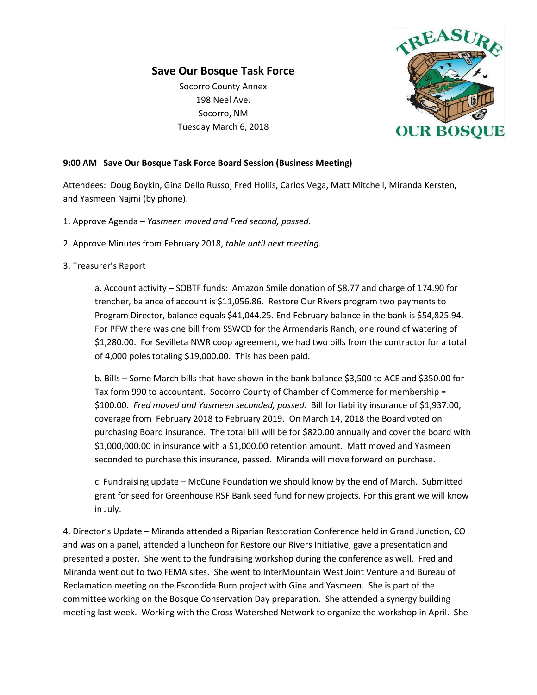## **Save Our Bosque Task Force**

Socorro County Annex 198 Neel Ave. Socorro, NM Tuesday March 6, 2018



## **9:00 AM Save Our Bosque Task Force Board Session (Business Meeting)**

Attendees: Doug Boykin, Gina Dello Russo, Fred Hollis, Carlos Vega, Matt Mitchell, Miranda Kersten, and Yasmeen Najmi (by phone).

- 1. Approve Agenda *Yasmeen moved and Fred second, passed.*
- 2. Approve Minutes from February 2018, *table until next meeting.*

## 3. Treasurer's Report

a. Account activity – SOBTF funds: Amazon Smile donation of \$8.77 and charge of 174.90 for trencher, balance of account is \$11,056.86. Restore Our Rivers program two payments to Program Director, balance equals \$41,044.25. End February balance in the bank is \$54,825.94. For PFW there was one bill from SSWCD for the Armendaris Ranch, one round of watering of \$1,280.00. For Sevilleta NWR coop agreement, we had two bills from the contractor for a total of 4,000 poles totaling \$19,000.00. This has been paid.

b. Bills – Some March bills that have shown in the bank balance \$3,500 to ACE and \$350.00 for Tax form 990 to accountant. Socorro County of Chamber of Commerce for membership = \$100.00. *Fred moved and Yasmeen seconded, passed.* Bill for liability insurance of \$1,937.00, coverage from February 2018 to February 2019. On March 14, 2018 the Board voted on purchasing Board insurance. The total bill will be for \$820.00 annually and cover the board with \$1,000,000.00 in insurance with a \$1,000.00 retention amount. Matt moved and Yasmeen seconded to purchase this insurance, passed. Miranda will move forward on purchase.

c. Fundraising update – McCune Foundation we should know by the end of March. Submitted grant for seed for Greenhouse RSF Bank seed fund for new projects. For this grant we will know in July.

4. Director's Update – Miranda attended a Riparian Restoration Conference held in Grand Junction, CO and was on a panel, attended a luncheon for Restore our Rivers Initiative, gave a presentation and presented a poster. She went to the fundraising workshop during the conference as well. Fred and Miranda went out to two FEMA sites. She went to InterMountain West Joint Venture and Bureau of Reclamation meeting on the Escondida Burn project with Gina and Yasmeen. She is part of the committee working on the Bosque Conservation Day preparation. She attended a synergy building meeting last week. Working with the Cross Watershed Network to organize the workshop in April. She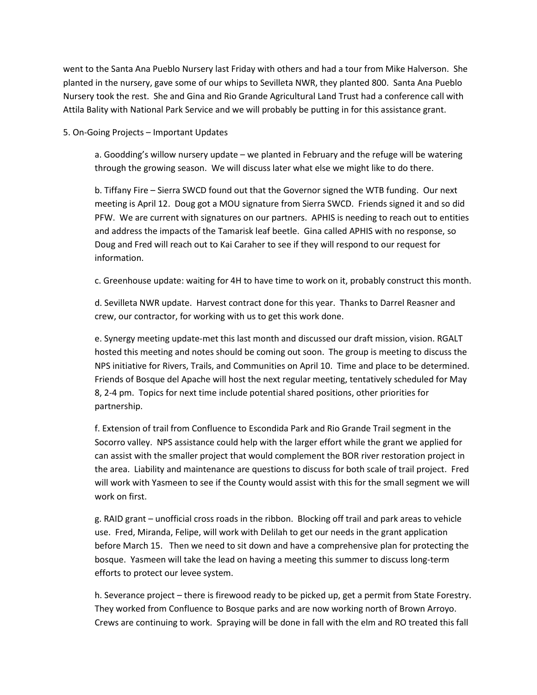went to the Santa Ana Pueblo Nursery last Friday with others and had a tour from Mike Halverson. She planted in the nursery, gave some of our whips to Sevilleta NWR, they planted 800. Santa Ana Pueblo Nursery took the rest. She and Gina and Rio Grande Agricultural Land Trust had a conference call with Attila Bality with National Park Service and we will probably be putting in for this assistance grant.

5. On-Going Projects – Important Updates

a. Goodding's willow nursery update – we planted in February and the refuge will be watering through the growing season. We will discuss later what else we might like to do there.

b. Tiffany Fire – Sierra SWCD found out that the Governor signed the WTB funding. Our next meeting is April 12. Doug got a MOU signature from Sierra SWCD. Friends signed it and so did PFW. We are current with signatures on our partners. APHIS is needing to reach out to entities and address the impacts of the Tamarisk leaf beetle. Gina called APHIS with no response, so Doug and Fred will reach out to Kai Caraher to see if they will respond to our request for information.

c. Greenhouse update: waiting for 4H to have time to work on it, probably construct this month.

d. Sevilleta NWR update. Harvest contract done for this year. Thanks to Darrel Reasner and crew, our contractor, for working with us to get this work done.

e. Synergy meeting update-met this last month and discussed our draft mission, vision. RGALT hosted this meeting and notes should be coming out soon. The group is meeting to discuss the NPS initiative for Rivers, Trails, and Communities on April 10. Time and place to be determined. Friends of Bosque del Apache will host the next regular meeting, tentatively scheduled for May 8, 2-4 pm. Topics for next time include potential shared positions, other priorities for partnership.

f. Extension of trail from Confluence to Escondida Park and Rio Grande Trail segment in the Socorro valley. NPS assistance could help with the larger effort while the grant we applied for can assist with the smaller project that would complement the BOR river restoration project in the area. Liability and maintenance are questions to discuss for both scale of trail project. Fred will work with Yasmeen to see if the County would assist with this for the small segment we will work on first.

g. RAID grant – unofficial cross roads in the ribbon. Blocking off trail and park areas to vehicle use. Fred, Miranda, Felipe, will work with Delilah to get our needs in the grant application before March 15. Then we need to sit down and have a comprehensive plan for protecting the bosque. Yasmeen will take the lead on having a meeting this summer to discuss long-term efforts to protect our levee system.

h. Severance project – there is firewood ready to be picked up, get a permit from State Forestry. They worked from Confluence to Bosque parks and are now working north of Brown Arroyo. Crews are continuing to work. Spraying will be done in fall with the elm and RO treated this fall